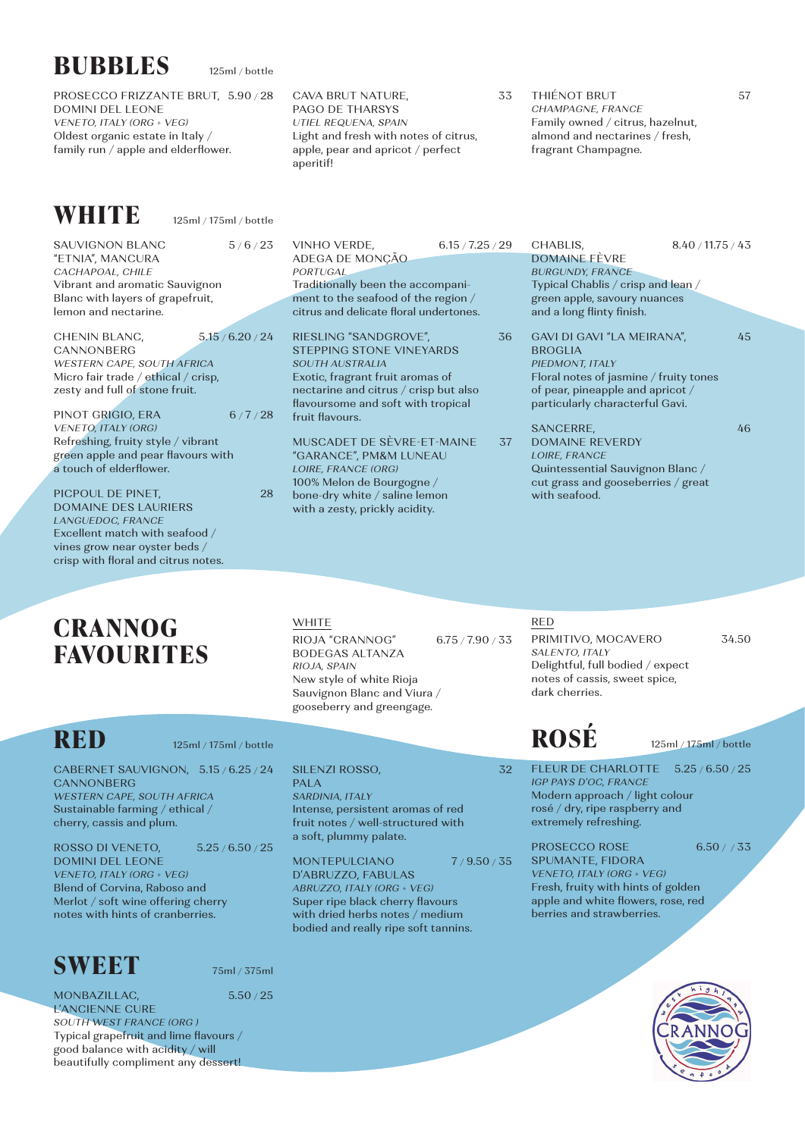| <b>BUBBLES</b>                                                                                                                                                          | 125ml / bottle |                                                                                                                                                                                                                          |                  |                                                                                                                                                                                  |                   |
|-------------------------------------------------------------------------------------------------------------------------------------------------------------------------|----------------|--------------------------------------------------------------------------------------------------------------------------------------------------------------------------------------------------------------------------|------------------|----------------------------------------------------------------------------------------------------------------------------------------------------------------------------------|-------------------|
| PROSECCO FRIZZANTE BRUT, 5.90 / 28<br><b>DOMINI DEL LEONE</b><br>VENETO, ITALY (ORG + VEG)<br>Oldest organic estate in Italy /<br>family run / apple and elderflower.   |                | 33<br>CAVA BRUT NATURE,<br><b>PAGO DE THARSYS</b><br>UTIEL REQUENA, SPAIN<br>Light and fresh with notes of citrus,<br>apple, pear and apricot / perfect<br>aperitif!                                                     |                  | <b>THIÉNOT BRUT</b><br>57<br>CHAMPAGNE, FRANCE<br>Family owned / citrus, hazelnut,<br>almond and nectarines / fresh,<br>fragrant Champagne.                                      |                   |
| WHITE<br>125ml / 175ml / bottle                                                                                                                                         |                |                                                                                                                                                                                                                          |                  |                                                                                                                                                                                  |                   |
| SAUVIGNON BLANC<br>"ETNIA", MANCURA<br>CACHAPOAL, CHILE<br>Vibrant and aromatic Sauvignon<br>Blanc with layers of grapefruit,<br>lemon and nectarine.                   | 5/6/23         | VINHO VERDE,<br>ADEGA DE MONÇÃO<br><b>PORTUGAL</b><br>Traditionally been the accompani-<br>ment to the seafood of the region /<br>citrus and delicate floral undertones.                                                 | 6.15 / 7.25 / 29 | CHABLIS,<br><b>DOMAINE EÈVRE</b><br><b>BURGUNDY, FRANCE</b><br>Typical Chablis / crisp and lean /<br>green apple, savoury nuances<br>and a long flinty finish.                   | 8.40 / 11.75 / 43 |
| 5.15/6.20/24<br>CHENIN BLANC,<br>CANNONBERG<br>WESTERN CAPE, SOUTH AFRICA<br>Micro fair trade / ethical / crisp,<br>zesty and full of stone fruit.<br>PINOT GRIGIO, ERA | 6/7/28         | RIESLING "SANDGROVE",<br><b>STEPPING STONE VINEYARDS</b><br><b>SOUTH AUSTRALIA</b><br>Exotic, fragrant fruit aromas of<br>nectarine and citrus / crisp but also<br>flavoursome and soft with tropical<br>fruit flavours. | 36               | GAVI DI GAVI "LA MEIRANA",<br><b>BROGLIA</b><br>PIEDMONT, ITALY<br>Floral notes of jasmine / fruity tones<br>of pear, pineapple and apricot /<br>particularly characterful Gavi. | 45                |
| <b>VENETO, ITALY (ORG)</b><br>Refreshing, fruity style / vibrant<br>green apple and pear flavours with<br>a touch of elderflower.                                       |                | MUSCADET DE SÈVRE-ET-MAINE<br>"GARANCE", PM&M LUNEAU<br>LOIRE, FRANCE (ORG)<br>100% Melon de Bourgogne /                                                                                                                 | 37               | SANCERRE,<br><b>DOMAINE REVERDY</b><br>LOIRE, FRANCE<br>Quintessential Sauvignon Blanc /<br>cut grass and gooseberries / great                                                   | 46                |
| PICPOUL DE PINET.<br><b>DOMAINE DES LAURIERS</b><br>LANGUEDOC, FRANCE                                                                                                   | 28             | bone-dry white / saline lemon<br>with a zesty, prickly acidity.                                                                                                                                                          |                  | with seafood.                                                                                                                                                                    |                   |

## **CRANNOG FAVOURITES**

Excellent match with seafood / vines grow near oyster beds / crisp with floral and citrus notes.

| RIOJA "CRANNOG"             | 6.75 / 7.90 / 33 |
|-----------------------------|------------------|
| BODEGAS ALTANZA             |                  |
| RIOJA, SPAIN                |                  |
| New style of white Rioja    |                  |
| Sauvignon Blanc and Viura / |                  |
| gooseberry and greengage.   |                  |

**WHITE** 

**RED** 125ml / 175ml / bottle

CABERNET SAUVIGNON, 5.15 / 6.25 / 24 **CANNONBERG** *WESTERN CAPE, SOUTH AFRICA*

Sustainable farming / ethical / cherry, cassis and plum.

ROSSO DI VENETO, 5.25 / 6.50 / 25 DOMINI DEL LEONE *VENETO, ITALY (ORG + VEG)* Blend of Corvina, Raboso and Merlot / soft wine offering cherry notes with hints of cranberries.



MONBAZILLAC, 5.50 / 25 L'ANCIENNE CURE *SOUTH WEST FRANCE (ORG )* Typical grapefruit and lime flavours / good balance with acidity / will beautifully compliment any dessert!

PALA *SARDINIA, ITALY* Intense, persistent aromas of red fruit notes / well-structured with a soft, plummy palate.

MONTEPULCIANO 7/9.50/35 D'ABRUZZO, FABULAS *ABRUZZO, ITALY (ORG + VEG)* Super ripe black cherry flavours with dried herbs notes / medium bodied and really ripe soft tannins.

SILENZI ROSSO, 32

RED

*SALENTO, ITALY*

dark cherries.

FLEUR DE CHARLOTTE 5.25 / 6.50 / 25 *IGP PAYS D'OC, FRANCE* Modern approach / light colour rosé / dry, ripe raspberry and extremely refreshing.

**ROSÉ** 125ml / 175ml / bottle

PRIMITIVO, MOCAVERO 34.50

Delightful, full bodied / expect notes of cassis, sweet spice,

PROSECCO ROSE 6.50 / / 33 SPUMANTE, FIDORA *VENETO, ITALY (ORG + VEG)* Fresh, fruity with hints of golden apple and white flowers, rose, red berries and strawberries.